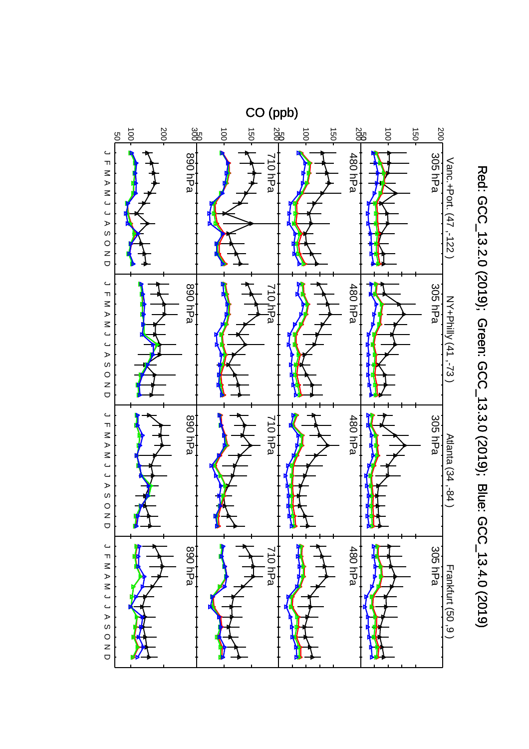

Red: GCC\_13.2.0 (2019); Green: GCC\_13.3.0 (2019); Blue: GCC\_13.4.0 (2019) Red: GCC\_13.2.0 (2019); Green: GCC\_13.3.0 (2019); Blue: GCC\_13.4.0 (2019)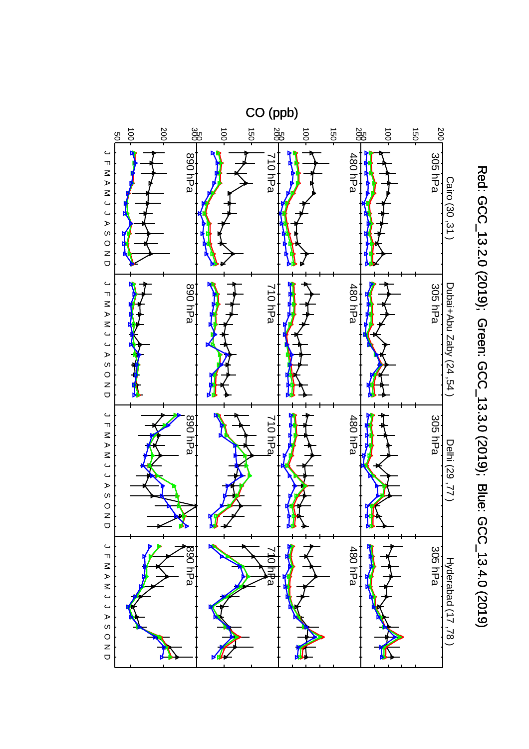

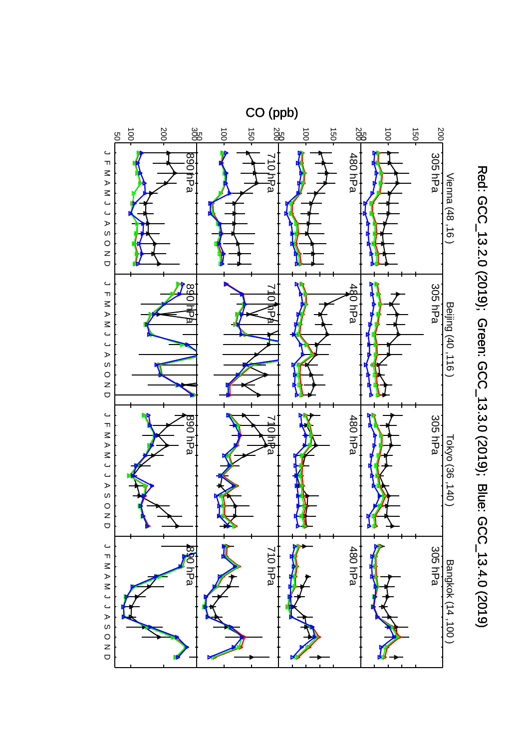